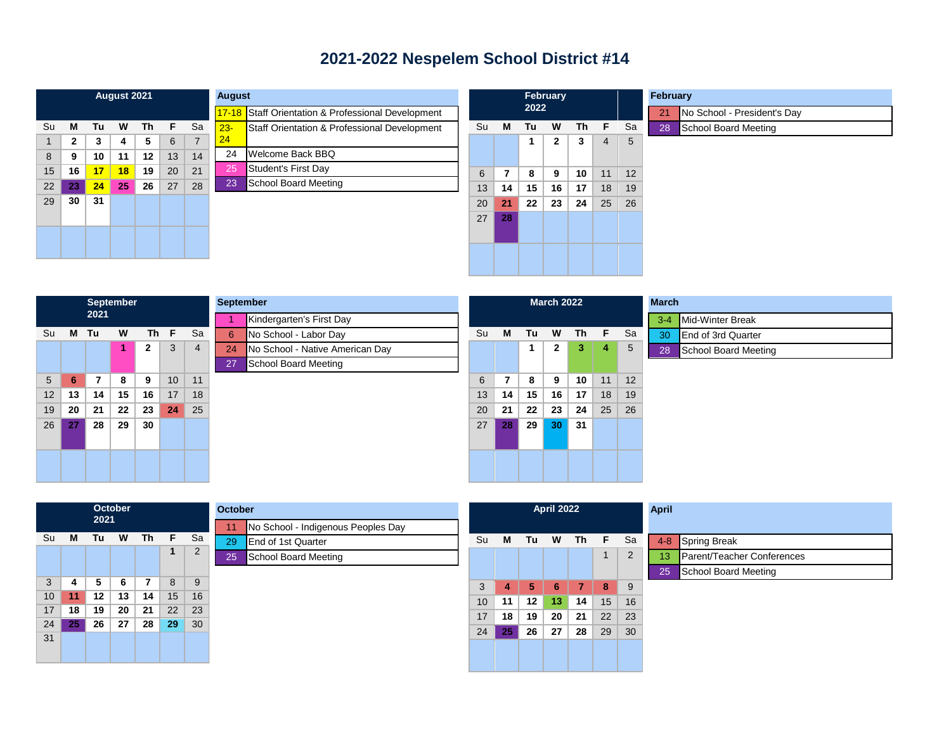## **2021-2022 Nespelem School District #14**

| August 2021 |              |    |    |           |    |                |     |
|-------------|--------------|----|----|-----------|----|----------------|-----|
|             |              |    |    |           |    |                | 17. |
| Su          | M            | Tu | W  | <b>Th</b> | F  | Sa             | 23  |
| 1           | $\mathbf{2}$ | 3  | 4  | 5         | 6  | $\overline{7}$ | 24  |
| 8           | 9            | 10 | 11 | 12        | 13 | 14             | 2   |
| 15          | 16           | 17 | 18 | 19        | 20 | 21             | 2   |
| 22          | 23           | 24 | 25 | 26        | 27 | 28             | 2   |
| 29          | 30           | 31 |    |           |    |                |     |
|             |              |    |    |           |    |                |     |
|             |              |    |    |           |    |                |     |
|             |              |    |    |           |    |                |     |
|             |              |    |    |           |    |                |     |

| August       |                                              |
|--------------|----------------------------------------------|
| $17 - 18$    | Staff Orientation & Professional Development |
| $23 -$<br>24 | Staff Orientation & Professional Development |
| 24           | Welcome Back BBQ                             |
| 25           | Student's First Day                          |
| 23           | School Board Meeting                         |
|              |                                              |
|              |                                              |
|              |                                              |

|    | <b>February</b><br>2022 |    |              |    |                |    |  |
|----|-------------------------|----|--------------|----|----------------|----|--|
| Su | M                       | Tu | W            | Th | F              | Sa |  |
|    |                         | 1  | $\mathbf{2}$ | 3  | $\overline{4}$ | 5  |  |
| 6  | 7                       | 8  | 9            | 10 | 11             | 12 |  |
| 13 | 14                      | 15 | 16           | 17 | 18             | 19 |  |
| 20 | 21                      | 22 | 23           | 24 | 25             | 26 |  |
| 27 | 28                      |    |              |    |                |    |  |
|    |                         |    |              |    |                |    |  |

| February |                             |
|----------|-----------------------------|
| 21/      | No School - President's Day |
|          | 28 School Board Meeting     |

| <b>September</b><br>Sept<br>2021 |    |    |    |              |    |                |    |  |  |
|----------------------------------|----|----|----|--------------|----|----------------|----|--|--|
|                                  |    |    |    |              |    |                | 1  |  |  |
| Su                               | M  | Tu | W  | <b>Th</b>    | F  | Sa             | 6  |  |  |
|                                  |    |    | 1  | $\mathbf{2}$ | 3  | $\overline{4}$ | 24 |  |  |
|                                  |    |    |    |              |    |                | 27 |  |  |
| 5                                | 6  | 7  | 8  | 9            | 10 | 11             |    |  |  |
| 12                               | 13 | 14 | 15 | 16           | 17 | 18             |    |  |  |
| 19                               | 20 | 21 | 22 | 23           | 24 | 25             |    |  |  |
| 26                               | 27 | 28 | 29 | 30           |    |                |    |  |  |
|                                  |    |    |    |              |    |                |    |  |  |
|                                  |    |    |    |              |    |                |    |  |  |
|                                  |    |    |    |              |    |                |    |  |  |
|                                  |    |    |    |              |    |                |    |  |  |

|    | eptember                        |
|----|---------------------------------|
| 1  | Kindergarten's First Day        |
| 6  | No School - Labor Day           |
| 24 | No School - Native American Day |
| 27 | School Board Meeting            |
|    |                                 |
|    |                                 |
|    |                                 |
|    |                                 |
|    |                                 |
|    |                                 |
|    |                                 |

|    | <b>March 2022</b> |    |              |    |    |    |  |  |
|----|-------------------|----|--------------|----|----|----|--|--|
|    |                   |    |              |    |    |    |  |  |
| Su | M                 | Tu | W            | Th | F  | Sa |  |  |
|    |                   | 1  | $\mathbf{2}$ | 3  | 4  | 5  |  |  |
|    |                   |    |              |    |    |    |  |  |
| 6  | 7                 | 8  | 9            | 10 | 11 | 12 |  |  |
| 13 | 14                | 15 | 16           | 17 | 18 | 19 |  |  |
| 20 | 21                | 22 | 23           | 24 | 25 | 26 |  |  |
| 27 | 28                | 29 | 30           | 31 |    |    |  |  |
|    |                   |    |              |    |    |    |  |  |
|    |                   |    |              |    |    |    |  |  |
|    |                   |    |              |    |    |    |  |  |
|    |                   |    |              |    |    |    |  |  |

|    | <b>March</b>              |  |  |  |  |  |  |
|----|---------------------------|--|--|--|--|--|--|
|    | 3-4 Mid-Winter Break      |  |  |  |  |  |  |
| 30 | <b>End of 3rd Quarter</b> |  |  |  |  |  |  |
| 28 | School Board Meeting      |  |  |  |  |  |  |

|    |    | 2021 | October |    |    |                | October |   |
|----|----|------|---------|----|----|----------------|---------|---|
|    |    |      |         |    |    |                | 11      | N |
| Su | M  | Tu   | W       | Th | F  | Sa             | 29      | E |
|    |    |      |         |    | 1  | $\overline{2}$ | 25      | S |
|    |    |      |         |    |    |                |         |   |
| 3  | 4  | 5    | 6       | 7  | 8  | 9              |         |   |
| 10 | 11 | 12   | 13      | 14 | 15 | 16             |         |   |
| 17 | 18 | 19   | 20      | 21 | 22 | 23             |         |   |
| 24 | 25 | 26   | 27      | 28 | 29 | 30             |         |   |
| 31 |    |      |         |    |    |                |         |   |
|    |    |      |         |    |    |                |         |   |

| ctober |                                    | <b>April 2022</b> |    |    |    |    |    |    | <b>April</b>                     |
|--------|------------------------------------|-------------------|----|----|----|----|----|----|----------------------------------|
| 11     | No School - Indigenous Peoples Day |                   |    |    |    |    |    |    |                                  |
| 29     | <b>End of 1st Quarter</b>          | Su                | м  | Tu | W  | Th | F. | Sa | <b>Spring Break</b><br>$4 - 8$   |
| 25     | School Board Meeting               |                   |    |    |    |    |    | 2  | Parent/Teacher Conferences<br>13 |
|        |                                    |                   |    |    |    |    |    |    | School Board Meeting<br>25       |
|        |                                    | 3                 | 4  | 5  | 6  | 7  | 8  | 9  |                                  |
|        |                                    | 10                | 11 | 12 | 13 | 14 | 15 | 16 |                                  |
|        |                                    | 17                | 18 | 19 | 20 | 21 | 22 | 23 |                                  |
|        |                                    | 24                | 25 | 26 | 27 | 28 | 29 | 30 |                                  |
|        |                                    |                   |    |    |    |    |    |    |                                  |
|        |                                    |                   |    |    |    |    |    |    |                                  |